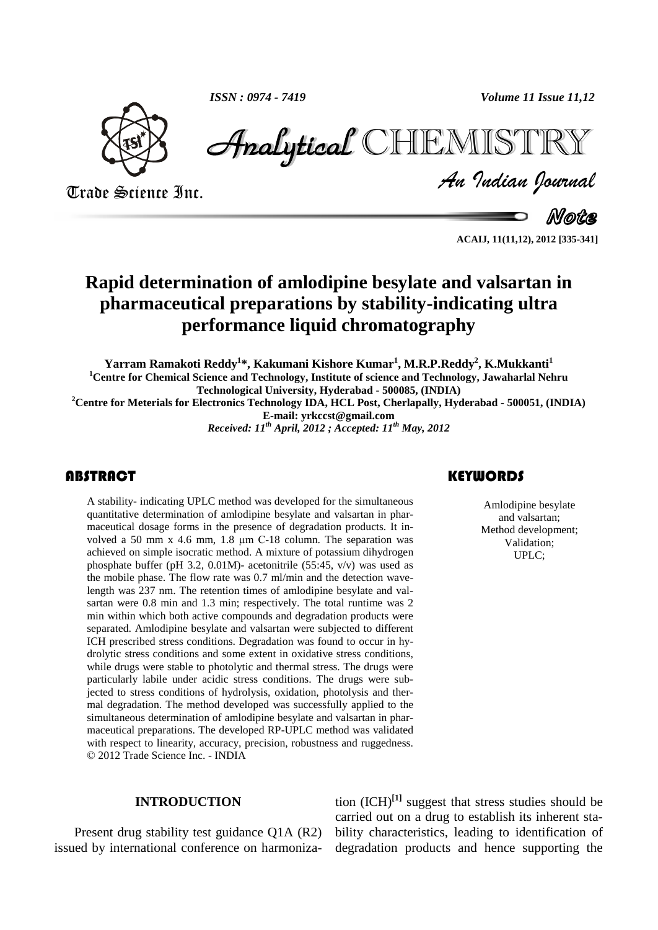*ISSN : 0974 - 7419 Volume 11 Issue 11,12*



ISSN : 0974 - 7419<br>
Volume 11 Issue 11,12<br>
Trade Science Inc.<br>
Trade Science Inc.<br> *Analytical* CHIEMISTIRY<br> *An Indian Journal*<br> *Note*<br>
ACAU, 1101,12), 2012 [335-341] Analytical CHIEMIST

Note

**ACAIJ, 11(11,12), 2012 [335-341]**

## **Rapid determination of amlodipine besylate and valsartan in pharmaceutical preparations by stability-indicating ultra performance liquid chromatography**

**Yarram Ramakoti Reddy <sup>1</sup>\*, Kakumani Kishore Kumar 1 , M.R.P.Reddy 2 , K.Mukkanti<sup>1</sup> <sup>1</sup>Centre for Chemical Science and Technology, Institute of science and Technology, Jawaharlal Nehru Technological University, Hyderabad - 500085, (INDIA)**

**<sup>2</sup>Centre for Meterials for Electronics Technology IDA, HCL Post, Cherlapally, Hyderabad - 500051, (INDIA) E-mail: [yrkccst@gmail.com](mailto:yrkccst@gmail.com)**

*Received: 11 th April, 2012 ; Accepted: 11 th May, 2012*

## **ABSTRACT**

A stability- indicating UPLC method was developed for the simultaneous<br>quantitative determination of amlodipine besylate and valsartan in phar-<br>maceutical dosage forms in the presence of degradation products. It in-<br>Method A stability- indicating UPLC method was developed for the simultaneous quantitative determination of amlodipine besylate and valsartan in pharmaceutical dosage forms in the presence of degradation products. It in volved <sup>a</sup> <sup>50</sup> mm <sup>x</sup> 4.6 mm, 1.8 µm <sup>C</sup>-18 column. The separation was achieved on simple isocratic method. A mixture of potassium dihydrogen phosphate buffer (pH 3.2, 0.01M)- acetonitrile (55:45, v/v) was used as the mobile phase. The flow rate was 0.7 ml/min and the detection wavelength was 237 nm.The retention times of amlodipine besylate and val sartan were 0.8 min and 1.3 min; respectively. The total runtime was 2 min within which both active compounds and degradation products were separated. Amlodipine besylate and valsartan were subjected to different ICH prescribed stress conditions. Degradation was found to occur in hy drolytic stress conditions and some extent in oxidative stress conditions, while drugs were stable to photolytic and thermal stress. The drugs were particularly labile under acidic stress conditions. The drugs were subjected to stress conditions of hydrolysis, oxidation, photolysis and ther mal degradation. The method developed was successfully applied to the simultaneous determination of amlodipine besylate and valsartan in phar maceutical preparations. The developed RP-UPLC method was validated with respect to linearity, accuracy, precision, robustness and ruggedness. 2012 Trade Science Inc. - INDIA

#### **INTRODUCTION**

Present drug stability test guidance Q1A (R2) issued by international conference on harmoniza-

## **KEYWORDS**

Amlodipine besylate and valsartan; Method development; Validation; UPLC;

tion (ICH) **[1]** suggest that stress studies should be carried out on a drug to establish its inherent sta bility characteristics, leading to identification of degradation products and hence supporting the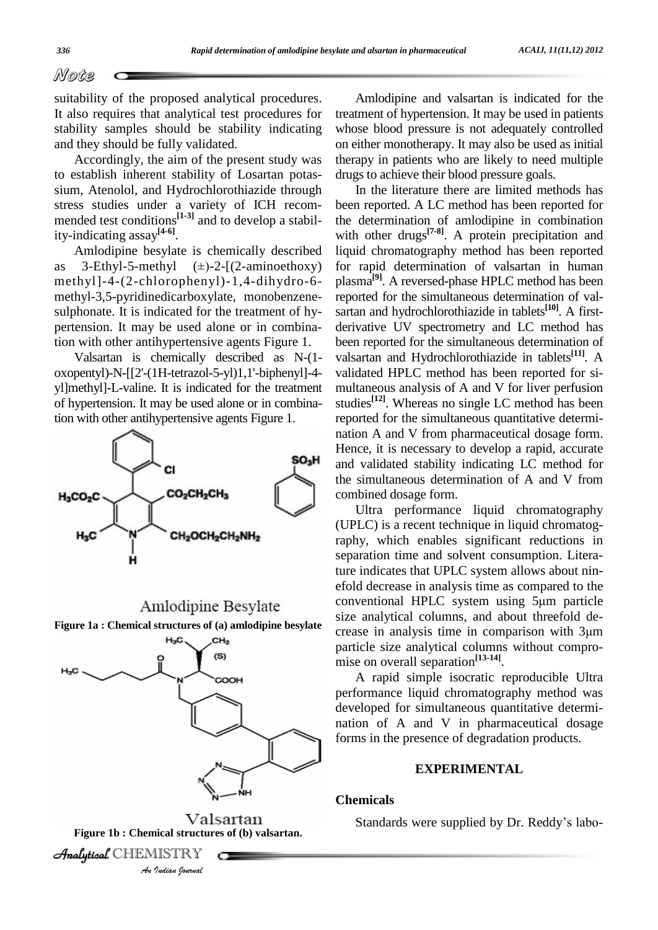*Mote* 

suitability of the proposed analytical procedures. It also requires that analytical test procedures for stability samples should be stability indicating and they should be fully validated.

Accordingly, the aim of the present study was to establish inherent stability of Losartan potassium, Atenolol, and Hydrochlorothiazide through stress studies under a variety of ICH recom mended test conditions<sup>[1-3]</sup> and to develop a stability-indicating assay **[4-6]**.

Amlodipine besylate is chemically described ity-indicating assay<sup>[4-6]</sup>. with<br>Amlodipine besylate is chemically described liqu<br>as 3-Ethyl-5-methyl ( $\pm$ )-2-[(2-aminoethoxy) for methyl]-4-(2-chlorophenyl)-1,4-dihydro-6 methyl-3,5-pyridinedicarboxylate, monobenzene sulphonate. It is indicated for the treatment of hy pertension. It may be used alone or in combination with other antihypertensive agents Figure 1.

Valsartan is chemically described as N-(1 oxopentyl)-N-[[2'-(1H-tetrazol-5-yl)1,1'-biphenyl]-4 yl]methyl]-L-valine. It is indicated for the treatment of hypertension. It may be used alone or in combination with other antihypertensive agents Figure 1.



# Amlodipine Besylate



Amlodipine and valsartan is indicated for the treatment of hypertension. It may be used in patients whose blood pressure is not adequately controlled on either monotherapy. It may also be used as initial therapy in patients who are likely to need multiple drugs to achieve their blood pressure goals.

In the literature there are limited methods has been reported. A LC method has been reported for the determination of amlodipine in combination with other drugs **[7-8]**. A protein precipitation and liquid chromatography method has been reported for rapid determination of valsartan in human plasma **[9]**. A reversed-phase HPLC method has been reported for the simultaneous determination of val sartan and hydrochlorothiazide in tablets **[10]**. A first derivative UV spectrometry and LC method has been reported for the simultaneous determination of valsartan and Hydrochlorothiazide in tablets **[11]**. A validated HPLC method has been reported for si multaneous analysis of A and V for liver perfusion studies **[12]**. Whereas no single LC method has been reported for the simultaneous quantitative determi nation A and V from pharmaceutical dosage form. Hence, it is necessary to develop a rapid, accurate and validated stability indicating LC method for the simultaneous determination of A and V from combined dosage form.

Ultra performance liquid chromatography (UPLC) is a recent technique in liquid chromatography, which enables significant reductions in separation time and solvent consumption. Literature indicates that UPLC system allows about ninefold decrease in analysis time as compared to the ture indicates that UPLC system allows about nin-<br>efold decrease in analysis time as compared to the<br>conventional HPLC system using 5µm particle size analytical columns, and about threefold de conventional HPLC system using 5µm particle<br>size analytical columns, and about threefold de-<br>crease in analysis time in comparison with 3µm particle size analytical columns without compro mise on overall separation **[13-14]**. **Figure** 1a **: Chemical structures of** (a) **amlodipine besylate** crease in analysis time in comparison with 3µm

> A rapid simple isocratic reproducible Ultra performance liquid chromatography method was developed for simultaneous quantitative determi nation of A and V in pharmaceutical dosage forms in the presence of degradation products.

## **EXPERIMENTAL**

#### **Chemicals**

Standards were supplied by Dr. Reddy's labo-

**Analytical** CHEMISTRY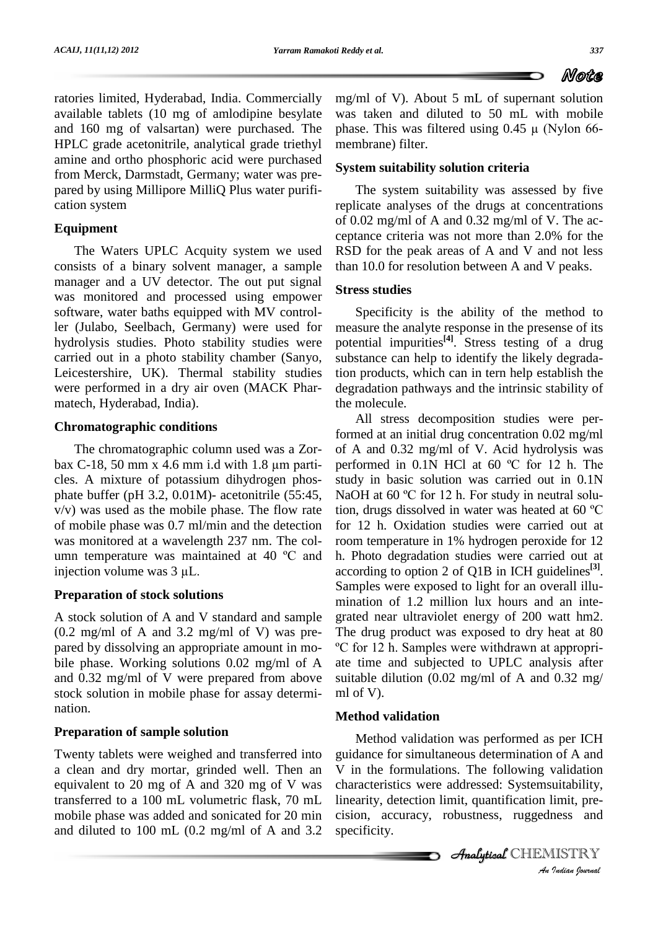ratories limited, Hyderabad, India. Commercially available tablets  $(10 \text{ mg of an}1)$ and 160 mg of valsartan) were purchased. The phase. This was filtered using  $0.45 \mu$  (Nylon 66-HPLC grade acetonitrile, analytical grade triethyl amine and ortho phosphoric acid were purchased from Merck, Darmstadt, Germany; water was pre pared by using Millipore MilliQ Plus water purifi cation system

## **Equipment**

The Waters UPLC Acquity system we used consists of a binary solvent manager, a sample manager and a UV detector. The out put signal was monitored and processed using empower software, water baths equipped with MV controller (Julabo, Seelbach, Germany) were used for hydrolysis studies. Photo stability studies were carried out in a photo stability chamber (Sanyo, Leicestershire, UK). Thermal stability studies were performed in a dry air oven (MACK Phar matech, Hyderabad, India).

## **Chromatographic conditions**

The chromatographic column used was a Zor bax C-18, 50 mm x 4.6 mm i.d with 1.8  $\mu$ m parti- performed in 0.1N HCl at 60 °C for 12 h. The cles. A mixture of potassium dihydrogen phos phate buffer (pH 3.2, 0.01M)- acetonitrile (55:45,  $v/v$ ) was used as the mobile phase. The flow rate tion, drugs dissolved in water was heated at 60 °C of mobile phase was 0.7 ml/min and the detection for 12 was monitored at a wavelength 237 nm. The col-<br>umn temperature was maintained at 40  $^{\circ}$ C and h. Pho was monitored at a wavelength 237 nm. The col-<br>umn temperature was maintained at 40  $^{\circ}$ C and h. I<br>injection volume was 3 µL. acco

## **Preparation of stock solutions**

A stock solution of A and V standard and sample (0.2 mg/ml of A and 3.2 mg/ml of V) was pre pared by dissolving an appropriate amount in mo- <sup>o</sup>C for 12 h. Samples were withdrawn at appropribile phase. Working solutions 0.02 mg/ml of A and 0.32 mg/ml of V were prepared from above stock solution in mobile phase for assay determi nation.

## **Preparation of sample solution**

Twenty tablets were weighed and transferred into a clean and dry mortar, grinded well. Then an equivalent to 20 mg of A and 320 mg of V was transferred to a 100 mL volumetric flask, 70 mL mobile phase was added and sonicated for 20 min and diluted to 100 mL (0.2 mg/ml of A and 3.2 mg/ml of V). About 5 mL of supernant solution was taken and diluted to 50 mL with mobile mg/ml of V). About 5 mL of supernant solution<br>was taken and diluted to 50 mL with mobile<br>phase. This was filtered using  $0.45 \mu$  (Nylon 66membrane) filter.

#### **System suitability solution criteria**

The system suitability was assessed by five replicate analyses of the drugs at concentrations of 0.02 mg/ml of A and 0.32 mg/ml of V. The ac ceptance criteria was not more than 2.0% for the RSD for the peak areas of A and V and not less than 10.0 for resolution between A and V peaks.

#### **Stress studies**

Specificity is the ability of the method to measure the analyte response in the presense of its potential impurities **[4]**. Stress testing of a drug substance can help to identify the likely degradation products, which can in tern help establish the degradation pathways and the intrinsic stability of the molecule.

All stress decomposition studies were performed at an initial drug concentration 0.02 mg/ml<br>of A and 0.32 mg/ml of V. Acid hydrolysis was<br>performed in 0.1N HCl at 60 °C for 12 h. The of A and 0.32 mg/ml of V. Acid hydrolysis was study in basic solution was carried out in 0.1N performed in 0.1N HCl at 60 °C for 12 h. The<br>study in basic solution was carried out in 0.1N<br>NaOH at 60 °C for 12 h. For study in neutral solustudy in basic solution was carried out in  $0.1N$ <br>NaOH at 60 °C for 12 h. For study in neutral solu-<br>tion, drugs dissolved in water was heated at 60 °C for 12 h. Oxidation studies were carried out at room temperature in 1% hydrogen peroxide for 12 h. Photo degradation studies were carried out at according to option 2 of Q1B in ICH guidelines **[3]**. Samples were exposed to light for an overall illu mination of 1.2 million lux hours and an inte grated near ultraviolet energy of 200 watt hm2.<br>The drug product was exposed to dry heat at 80<br><sup>o</sup>C for 12 h. Samples were withdrawn at appropri-The drug product was exposed to dry heat at 80 ate time and subjected to UPLC analysis after suitable dilution (0.02 mg/ml of A and 0.32 mg/ ml of V).

#### **Method validation**

An the formatations. The following vandation characteristics were addressed: Systemsuitability, *I*<br>**Indianal**<br>*Indian Doction*<br>*I*<br>*Indian Doctional* Method validation was performed as per ICH guidance for simultaneous determination of A and V in the formulations. The following validation linearity, detection limit, quantification limit, pre cision, accuracy, robustness, ruggedness and specificity.

CHEMISTRY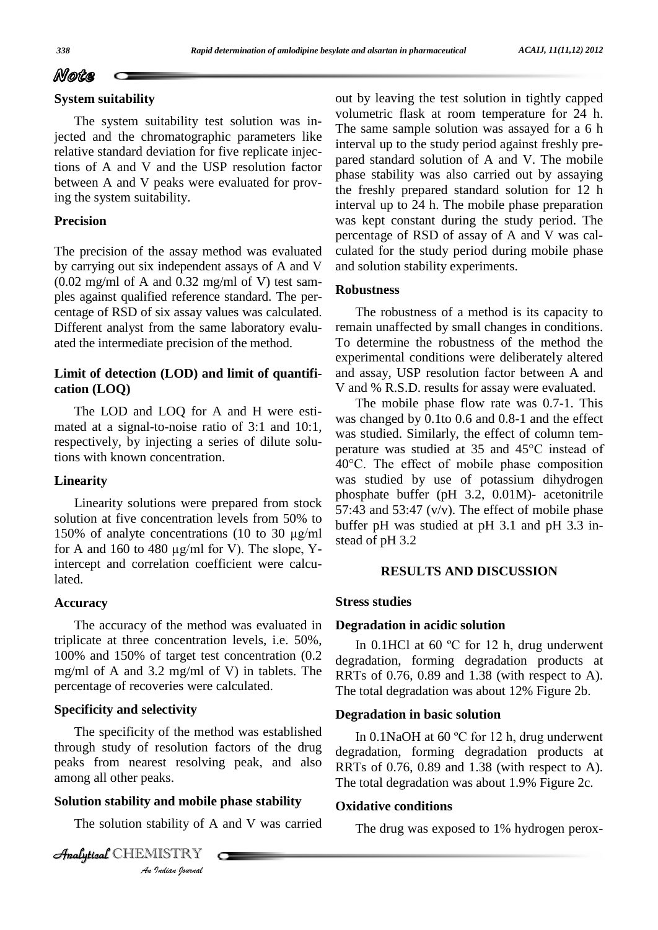#### **System suitability**

The system suitability test solution was injected and the chromatographic parameters like relative standard deviation for five replicate injections of A and V and the USP resolution factor between A and V peaks were evaluated for proving the system suitability.

## **Precision**

The precision of the assay method was evaluated by carrying out six independent assays of A and V  $(0.02 \text{ mg/ml of A and } 0.32 \text{ mg/ml of V})$  test samples against qualified reference standard. The per centage of RSD of six assay values was calculated. Different analyst from the same laboratory evalu ated the intermediate precision of the method.

#### **Limit of detection (LOD) and limit of quantifi cation (LOQ)**

The LOD and LOQ for A and H were esti mated at a signal-to-noise ratio of  $3:1$  and  $10:1$ , respectively, by injecting a series of dilute solutions with known concentration.

#### **Linearity**

Linearity solutions were prepared from stock 57:43<br>solution at five concentration levels from 50% to buffer<br>150% of analyte concentrations (10 to 30  $\mu$ g/ml solution at five concentration levels from 50% to<br>150% of analyte concentrations (10 to 30  $\mu$ g/ml buffer pH<br>for A and 160 to 480  $\mu$ g/ml for V). The slope, Yintercept and correlation coefficient were calculated.

#### **Accuracy**

The accuracy of the method was evaluated in triplicate at three concentration levels, i.e. 50%, 100% and 150% of target test concentration (0.2 mg/ml of A and 3.2 mg/ml of V) in tablets. The percentage of recoveries were calculated.

#### **Specificity and selectivity**

among all other peaks. The specificity of the method was established through study of resolution factors of the drug peaks from nearest resolving peak, and also

#### **Solution stability and mobile phase stability**

The solution stability of A and V was carried

aks.<br>**and mobile**<br>*IISTRY*<br>*Indian bournal* **Analytical** CHEMISTRY

out by leaving the test solution in tightly capped volumetric flask at room temperature for 24 h. The same sample solution was assayed for a 6 h interval up to the study period against freshly pre pared standard solution of A and V. The mobile phase stability was also carried out by assaying the freshly prepared standard solution for 12 h interval up to 24 h. The mobile phase preparation was kept constant during the study period. The percentage of RSD of assay of A and V was cal culated for the study period during mobile phase and solution stability experiments.

#### **Robustness**

The robustness of a method is its capacity to remain unaffected by small changes in conditions. To determine the robustness of the method the experimental conditions were deliberately altered and assay, USP resolution factor between A and V and % R.S.D. results for assay were evaluated.

The mobile phase flow rate was 0.7-1. This was changed by 0.1to 0.6 and 0.8-1 and the effect was studied. Similarly, the effect of column tem was changed by 0.1to 0.6 and 0.8-1 and the effect<br>was studied. Similarly, the effect of column tem-<br>perature was studied at 35 and 45°C instead of was studied. Similarly, the effect of column tem-<br>perature was studied at 35 and 45°C instead of<br>40°C. The effect of mobile phase composition was studied by use of potassium dihydrogen phosphate buffer (pH 3.2, 0.01M)- acetonitrile 57:43 and 53:47 ( $v/v$ ). The effect of mobile phase buffer pH was studied at pH 3.1 and pH 3.3 instead of pH 3.2

#### **RESULTS AND DISCUSSION**

#### **Stress studies**

#### **Degradation in acidic solution**

In 0.1HCl at 60 °C for 12 h, drug underwent degradation, forming degradation products at RRTs of 0.76, 0.89 and 1.38 (with respect to A). The total degradation was about 12% Figure 2b.

#### **Degradation in basic solution**

In 0.1NaOH at <sup>60</sup> ºC for <sup>12</sup> h, drug underwent degradation, forming degradation products at RRTs of 0.76, 0.89 and 1.38 (with respect to A). The total degradation was about  $1.9\%$  Figure 2c.

#### **Oxidative conditions**

The drug was exposed to 1% hydrogen perox-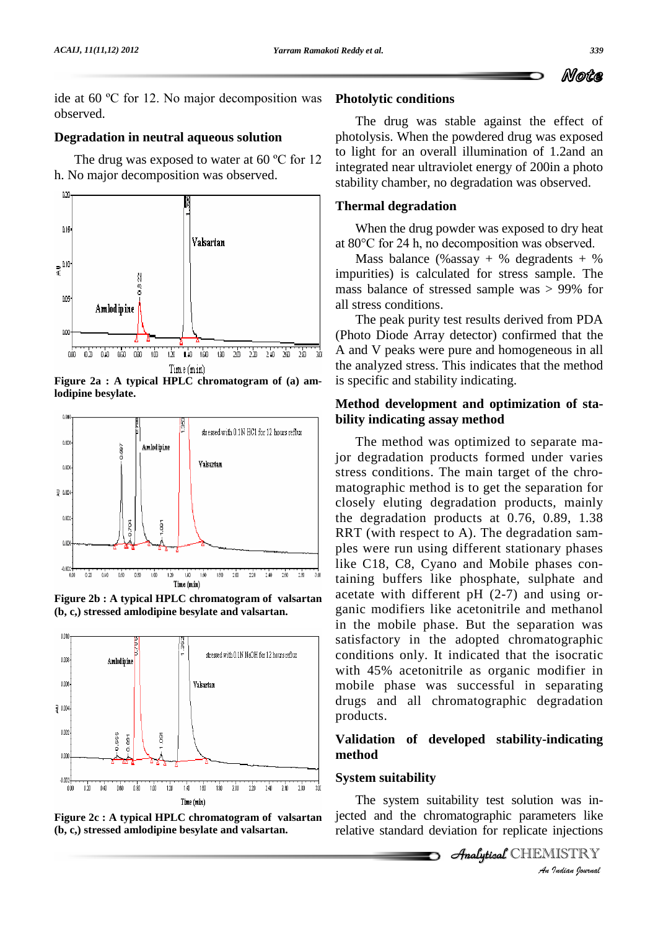ide at <sup>60</sup> ºC for 12.No major decomposition was observed.

## **Degradation in neutral aqueous solution**

The drug was exposed to water at 60 °C for 12 h. No major decomposition was observed.



**Figure** 2a : A **typical HPLC chromatogram** of (a) **amlodipine besylate.**



**Figure 2b : A typical HPLC chromatogram of valsartan (b, c,) stressed amlodipine besylate and valsartan.**



**Figure 2c : A typical HPLC chromatogram of valsartan (b, c,) stressed amlodipine besylate and valsartan.**

## **Photolytic conditions**

The drug was stable against the effect of photolysis. When the powdered drug was exposed to light for an overall illumination of 1.2and an integrated near ultraviolet energy of 200in a photo stability chamber, no degradation was observed.

## **Thermal degradation**

When the drug powder was exposed to dry heat at <sup>80</sup>°C for <sup>24</sup> h, no decomposition was observed.

Mass balance (% assay + % degradents + % impurities) is calculated for stress sample. The mass balance of stressed sample was > 99% for all stress conditions.

The peak purity test results derived from PDA (Photo Diode Array detector) confirmed that the A and V peaks were pure and homogeneous in all the analyzed stress. This indicates that the method is specific and stability indicating.

## **Method development and optimization of sta bility indicating assay method**

The method was optimized to separate major degradation products formed under varies stress conditions. The main target of the chro matographic method is to get the separation for closely eluting degradation products, mainly the degradation products at 0.76, 0.89, 1.38 RRT (with respect to A). The degradation sam ples were run using different stationary phases like C18, C8, Cyano and Mobile phases containing buffers like phosphate, sulphate and acetate with different pH (2-7) and using or ganic modifiers like acetonitrile and methanol in the mobile phase. But the separation was satisfactory in the adopted chromatographic conditions only. It indicated that the isocratic with 45% acetonitrile as organic modifier in mobile phase was successful in separating drugs and all chromatographic degradation products.

## **Validation** of developed stability-indicating **method**

## **System suitability**

*I* was in-<br>eters like<br>injections<br>*IISTRY* The system suitability test solution was injected and the chromatographic parameters like relative standard deviation for replicate injections

CHEMISTRY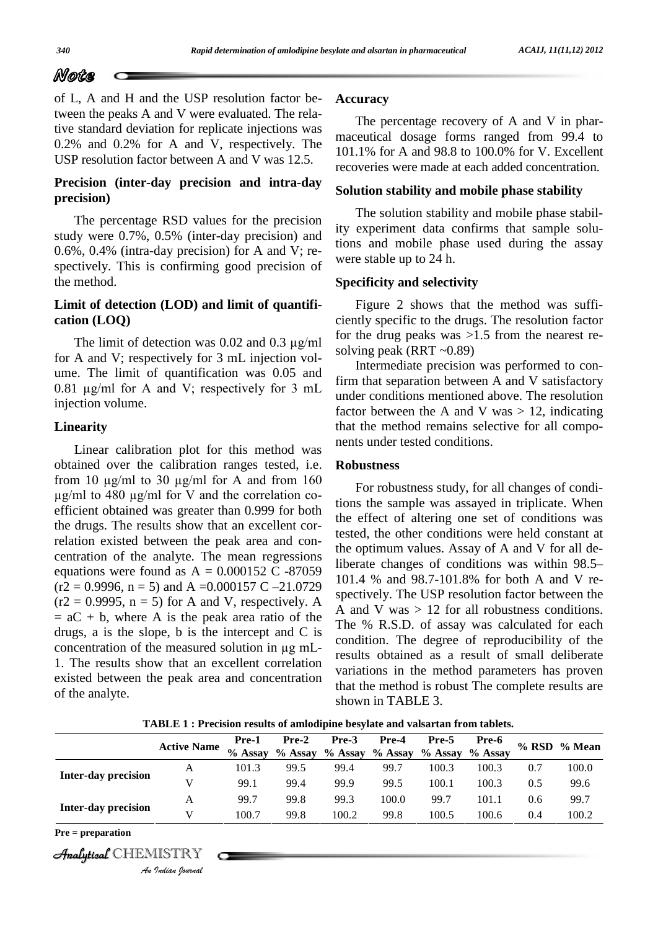of L, A and H and the USP resolution factor between the peaks A and V were evaluated. The relative standard deviation for replicate injections was 0.2% and 0.2% for A and V, respectively. The USP resolution factor between A and V was 12.5.

## **Precision (inter-day precision and intra-day precision)**

The percentage RSD values for the precision study were 0.7%, 0.5% (inter-day precision) and 0.6%, 0.4% (intra-day precision) for A and V; re spectively. This is confirming good precision of the method.

## **Limit of detection (LOD) and limit of quantifi cation (LOQ)**

The limit of detection was 0.02 and 0.3 µg/ml for A and V; respectively for 3 mL injection vol ume. The limit of quantification was 0.05 and 0.81 µg/ml for <sup>A</sup> and V; respectively for <sup>3</sup> mL injection volume.

#### **Linearity**

Linear calibration plot for this method was obtained over the calibration ranges tested, i.e.  $\mathbf{R}$ Linear calibration plot for this method was<br>obtained over the calibration ranges tested, i.e. **Robus**<br>from 10  $\mu$ g/ml to 30  $\mu$ g/ml for A and from 160 ed over the calibration ranges tested, i.e. **Rol** 0  $\mu$ g/ml to 30  $\mu$ g/ml for A and from 160 to 480  $\mu$ g/ml for V and the correlation coefficient obtained was greater than 0.999 for both the drugs. The results show that an excellent correlation existed between the peak area and con centration of the analyte. The mean regressions the optical equations were found as  $A = 0.000152$  C -87059 liberation (r2 = 0.9996, n = 5) and A = 0.000157 C -21.0729 equations were found as  $A = 0.000152$  C -87059 liberate changes of conditions was within 98.5–  $(r2 = 0.9995, n = 5)$  for A and V, respectively. A  $= aC + b$ , where A is the peak area ratio of the drugs, a is the slope, b is the intercept and C is concentration of the measured solution in µg mL- 1. The results show that an excellent correlation existed between the peak area and concentration of the analyte.

#### **Accuracy**

The percentage recovery of A and V in pharmaceutical dosage forms ranged from 99.4 to 101.1% for A and 98.8 to 100.0% for V. Excellent recoveries were made at each added concentration.

#### **Solution stability and mobile phase stability**

The solution stability and mobile phase stability experiment data confirms that sample solutions and mobile phase used during the assay were stable up to 24 h.

#### **Specificity and selectivity**

Figure 2 shows that the method was suffi ciently specific to the drugs. The resolution factor for the drug peaks was >1.5 from the nearest re solving peak (RRT ~0.89)

Intermediate precision was performed to confirm that separation between A and V satisfactory under conditions mentioned above. The resolution factor between the A and V was  $> 12$ , indicating that the method remains selective for all compo nents under tested conditions.

#### **Robustness**

For robustness study, for all changes of conditions the sample was assayed in triplicate. When the effect of altering one set of conditions was tested, the other conditions were held constant at<br>the optimum values. Assay of A and V for all de-<br>liberate changes of conditions was within 98.5– the optimum values. Assay of A and V for all de-101.4 % and 98.7-101.8% for both A and V re spectively. The USP resolution factor between the A and V was  $> 12$  for all robustness conditions. The % R.S.D. of assay was calculated for each condition. The degree of reproducibility of the results obtained as a result of small deliberate variations in the method parameters has proven that the method is robust The complete results are shown in TABLE 3.

**TABLE 1 : Precision results of amlodipine besylate and valsartan from tablets.**

|                            | <b>Active Name</b> | Pre-1<br>% Assay | $Pre-2$<br>$%$ Assay | Pre-3<br>$%$ Assay | Pre-4<br>$%$ Assay | Pre-5<br>% Assay | Pre-6<br>% Assay |     | % RSD % Mean |
|----------------------------|--------------------|------------------|----------------------|--------------------|--------------------|------------------|------------------|-----|--------------|
| <b>Inter-day precision</b> | A                  | 101.3            | 99.5                 | 99.4               | 99.7               | 100.3            | 100.3            | 0.7 | 100.0        |
|                            | V                  | 99.1             | 99.4                 | 99.9               | 99.5               | 100.1            | 100.3            | 0.5 | 99.6         |
| <b>Inter-day precision</b> | A                  | 99.7             | 99.8                 | 99.3               | 100.0              | 99.7             | 101.1            | 0.6 | 99.7         |
|                            | V                  | 100.7            | 99.8                 | 100.2              | 99.8               | 100.5            | 100.6            | 0.4 | 100.2        |
| $Pre = preparation$        |                    |                  |                      |                    |                    |                  |                  |     |              |
| Analytical CHEMISTRY       | An Indian Nournal  |                  |                      |                    |                    |                  |                  |     |              |